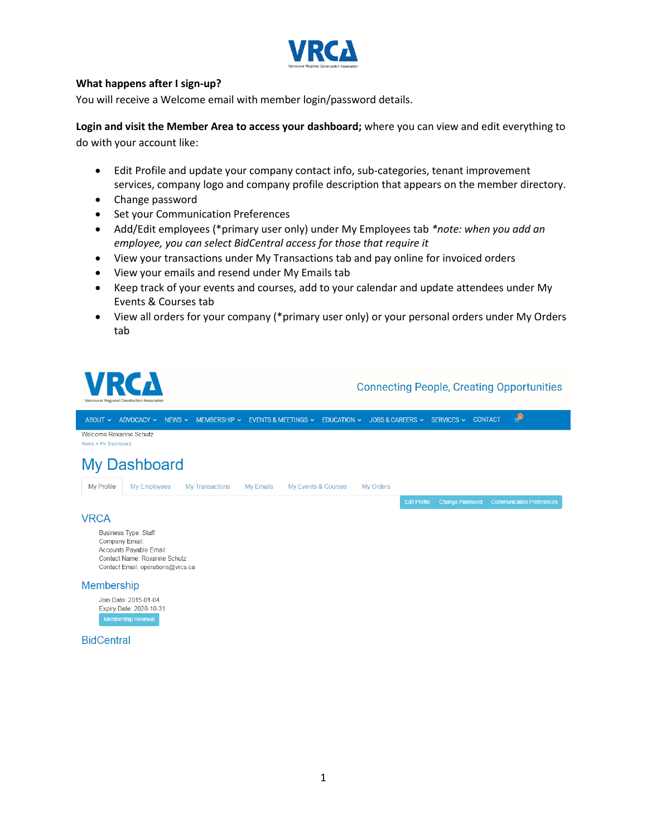

## **What happens after I sign-up?**

You will receive a Welcome email with member login/password details.

**Login and visit the Member Area to access your dashboard;** where you can view and edit everything to do with your account like:

- Edit Profile and update your company contact info, sub-categories, tenant improvement services, company logo and company profile description that appears on the member directory.
- Change password
- Set your Communication Preferences
- Add/Edit employees (\*primary user only) under My Employees tab *\*note: when you add an employee, you can select BidCentral access for those that require it*
- View your transactions under My Transactions tab and pay online for invoiced orders
- View your emails and resend under My Emails tab
- Keep track of your events and courses, add to your calendar and update attendees under My Events & Courses tab
- View all orders for your company (\*primary user only) or your personal orders under My Orders tab



| Join Date: 2015-01-04     |  |
|---------------------------|--|
| Expiry Date: 2020-10-31   |  |
| <b>Membership Renewal</b> |  |

### **BidCentral**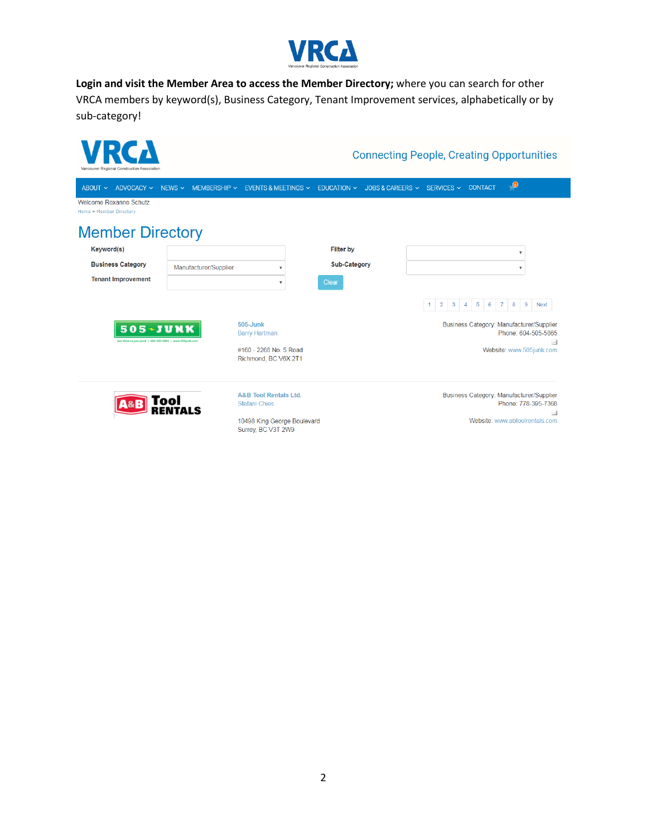

**Login and visit the Member Area to access the Member Directory;** where you can search for other VRCA members by keyword(s), Business Category, Tenant Improvement services, alphabetically or by sub-category!

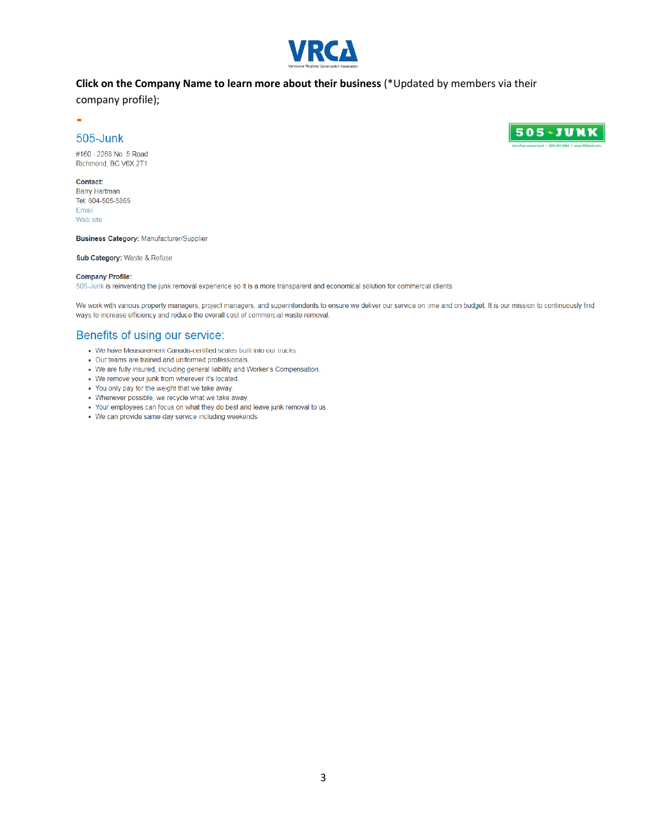

## Click on the Company Name to learn more about their business (\*Updated by members via their

company profile);

# 505-Junk

#160 - 2268 No. 5 Road Richmond, BC V6X 2T1

#### Contact:

 $\sim$ 

**Barry Hartman** Tel: 604-505-5865 Email Web site

**Business Category: Manufacturer/Supplier** 

Sub Category: Waste & Refuse

#### **Company Profile:**

505-Junk is reinventing the junk removal experience so it is a more transparent and economical solution for commercial clients.

We work with various property managers, project managers, and superintendents to ensure we deliver our service on time and on budget. It is our mission to continuously find ways to increase efficiency and reduce the overall cost of commercial waste removal.

# Benefits of using our service:

- . We have Measurement Canada-certified scales built into our trucks.
- Our teams are trained and uniformed professionals.
- We are fully insured, including general liability and Worker's Compensation.
- We remove your junk from wherever it's located.
- . You only pay for the weight that we take away.
- Whenever possible, we recycle what we take away.
- . Your employees can focus on what they do best and leave junk removal to us.
- We can provide same-day service including weekends.